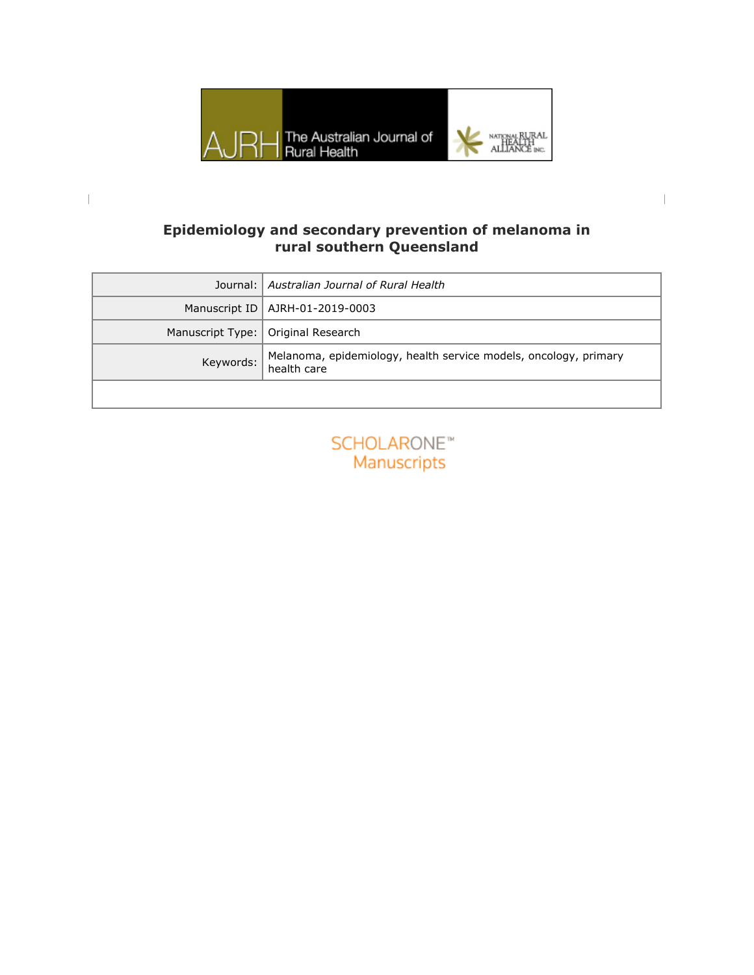

## **Epidemiology and secondary prevention of melanoma in rural southern Queensland**

 $\begin{array}{c} \hline \end{array}$ 

|           | Journal:   Australian Journal of Rural Health                                     |
|-----------|-----------------------------------------------------------------------------------|
|           | Manuscript ID   AJRH-01-2019-0003                                                 |
|           | Manuscript Type:   Original Research                                              |
| Keywords: | Melanoma, epidemiology, health service models, oncology, primary<br>  health care |
|           |                                                                                   |

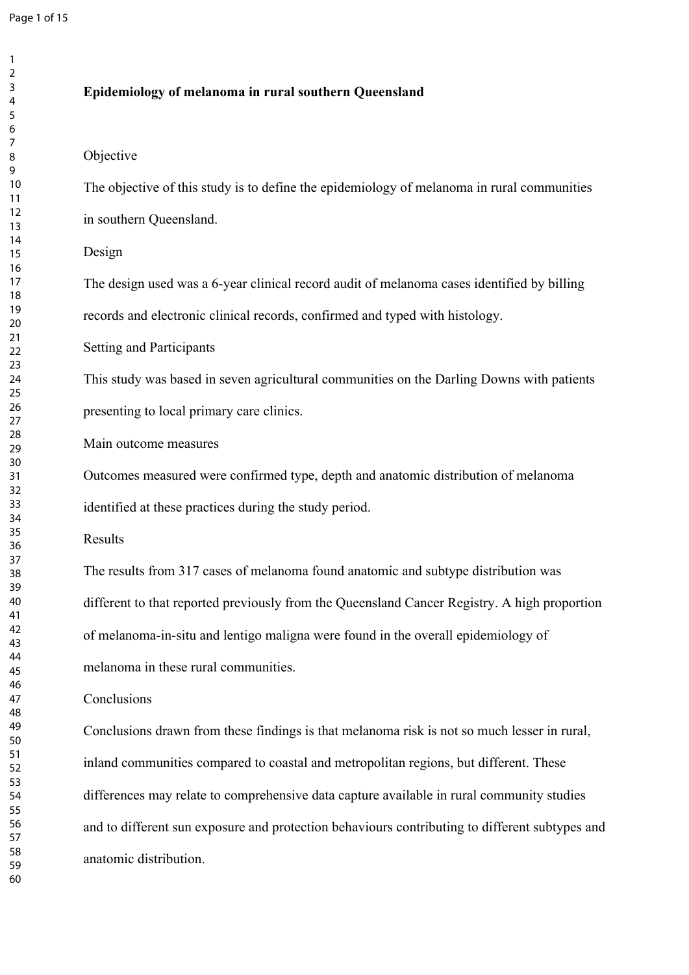## **Epidemiology of melanoma in rural southern Queensland**

## Objective

The objective of this study is to define the epidemiology of melanoma in rural communities in southern Queensland.

### Design

The design used was a 6-year clinical record audit of melanoma cases identified by billing records and electronic clinical records, confirmed and typed with histology.

Setting and Participants

This study was based in seven agricultural communities on the Darling Downs with patients presenting to local primary care clinics.

Main outcome measures

Outcomes measured were confirmed type, depth and anatomic distribution of melanoma identified at these practices during the study period.

Results

The results from 317 cases of melanoma found anatomic and subtype distribution was different to that reported previously from the Queensland Cancer Registry. A high proportion of melanoma-in-situ and lentigo maligna were found in the overall epidemiology of melanoma in these rural communities.

### **Conclusions**

Conclusions drawn from these findings is that melanoma risk is not so much lesser in rural, inland communities compared to coastal and metropolitan regions, but different. These differences may relate to comprehensive data capture available in rural community studies and to different sun exposure and protection behaviours contributing to different subtypes and anatomic distribution.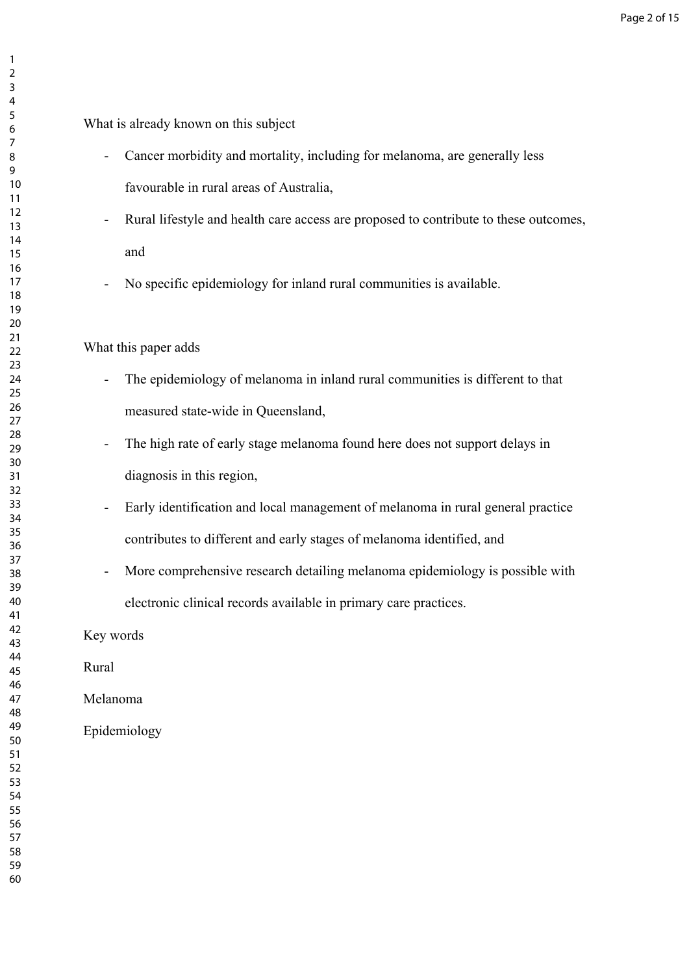# What is already known on this subject

- Cancer morbidity and mortality, including for melanoma, are generally less favourable in rural areas of Australia,
- Rural lifestyle and health care access are proposed to contribute to these outcomes, and
- No specific epidemiology for inland rural communities is available.

## What this paper adds

- The epidemiology of melanoma in inland rural communities is different to that measured state-wide in Queensland,
- The high rate of early stage melanoma found here does not support delays in diagnosis in this region,
- Early identification and local management of melanoma in rural general practice contributes to different and early stages of melanoma identified, and
- More comprehensive research detailing melanoma epidemiology is possible with electronic clinical records available in primary care practices.

Key words

Rural

Melanoma

Epidemiology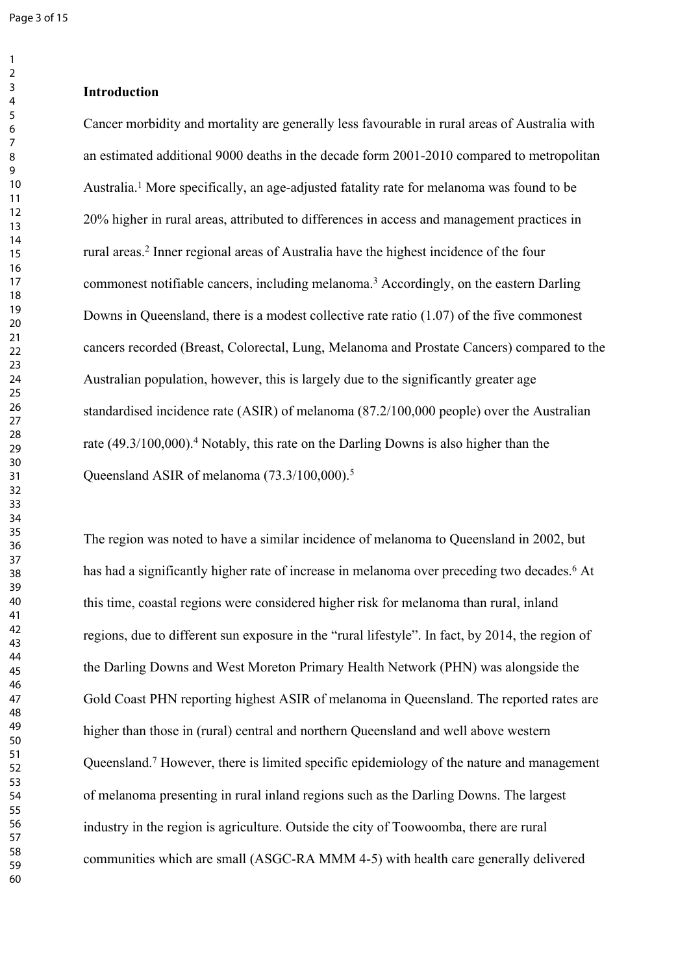#### **Introduction**

Cancer morbidity and mortality are generally less favourable in rural areas of Australia with an estimated additional 9000 deaths in the decade form 2001-2010 compared to metropolitan Australia.<sup>1</sup> More specifically, an age-adjusted fatality rate for melanoma was found to be 20% higher in rural areas, attributed to differences in access and management practices in rural areas.<sup>2</sup> Inner regional areas of Australia have the highest incidence of the four commonest notifiable cancers, including melanoma.<sup>3</sup> Accordingly, on the eastern Darling Downs in Queensland, there is a modest collective rate ratio (1.07) of the five commonest cancers recorded (Breast, Colorectal, Lung, Melanoma and Prostate Cancers) compared to the Australian population, however, this is largely due to the significantly greater age standardised incidence rate (ASIR) of melanoma (87.2/100,000 people) over the Australian rate (49.3/100,000).<sup>4</sup> Notably, this rate on the Darling Downs is also higher than the Queensland ASIR of melanoma (73.3/100,000).<sup>5</sup>

The region was noted to have a similar incidence of melanoma to Queensland in 2002, but has had a significantly higher rate of increase in melanoma over preceding two decades.<sup>6</sup> At this time, coastal regions were considered higher risk for melanoma than rural, inland regions, due to different sun exposure in the "rural lifestyle". In fact, by 2014, the region of the Darling Downs and West Moreton Primary Health Network (PHN) was alongside the Gold Coast PHN reporting highest ASIR of melanoma in Queensland. The reported rates are higher than those in (rural) central and northern Queensland and well above western Queensland.<sup>7</sup> However, there is limited specific epidemiology of the nature and management of melanoma presenting in rural inland regions such as the Darling Downs. The largest industry in the region is agriculture. Outside the city of Toowoomba, there are rural communities which are small (ASGC-RA MMM 4-5) with health care generally delivered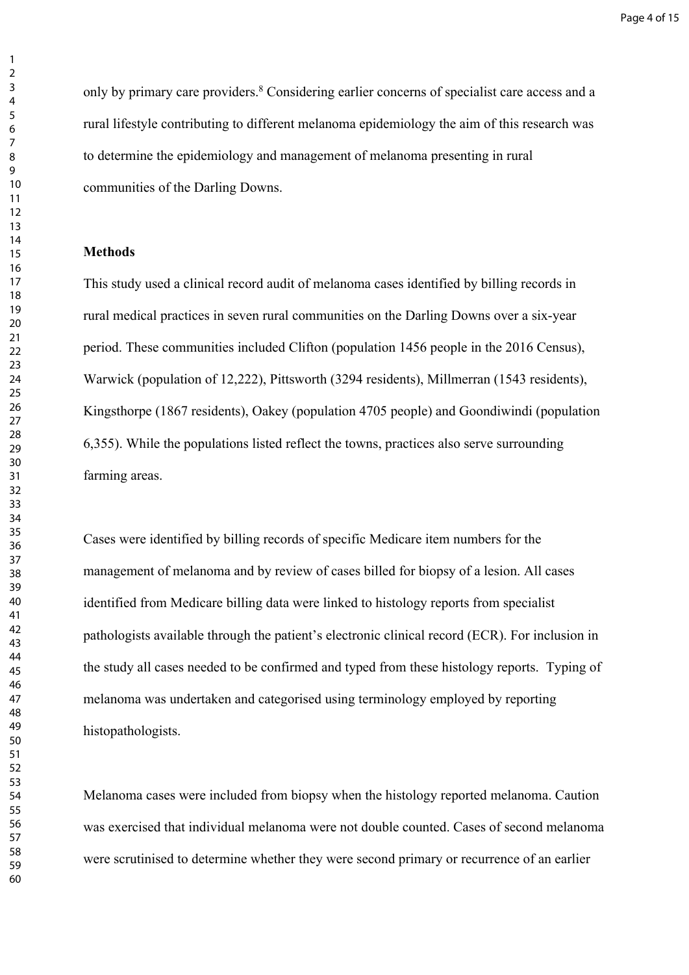only by primary care providers.<sup>8</sup> Considering earlier concerns of specialist care access and a rural lifestyle contributing to different melanoma epidemiology the aim of this research was to determine the epidemiology and management of melanoma presenting in rural communities of the Darling Downs.

### **Methods**

This study used a clinical record audit of melanoma cases identified by billing records in rural medical practices in seven rural communities on the Darling Downs over a six-year period. These communities included Clifton (population 1456 people in the 2016 Census), Warwick (population of 12,222), Pittsworth (3294 residents), Millmerran (1543 residents), Kingsthorpe (1867 residents), Oakey (population 4705 people) and Goondiwindi (population 6,355). While the populations listed reflect the towns, practices also serve surrounding farming areas.

Cases were identified by billing records of specific Medicare item numbers for the management of melanoma and by review of cases billed for biopsy of a lesion. All cases identified from Medicare billing data were linked to histology reports from specialist pathologists available through the patient's electronic clinical record (ECR). For inclusion in the study all cases needed to be confirmed and typed from these histology reports. Typing of melanoma was undertaken and categorised using terminology employed by reporting histopathologists.

Melanoma cases were included from biopsy when the histology reported melanoma. Caution was exercised that individual melanoma were not double counted. Cases of second melanoma were scrutinised to determine whether they were second primary or recurrence of an earlier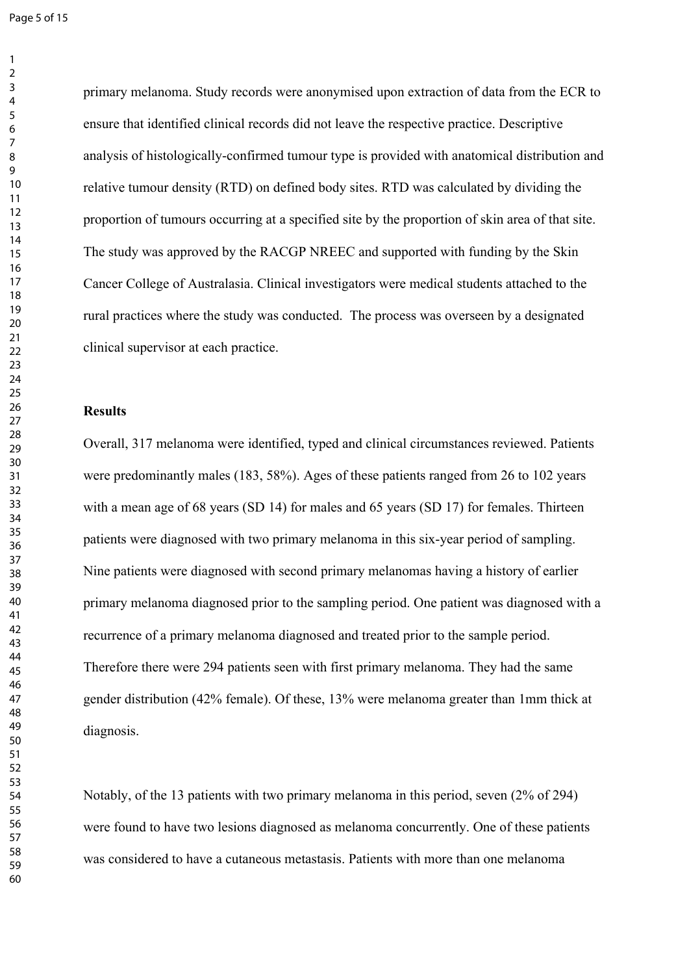Page 5 of 15

primary melanoma. Study records were anonymised upon extraction of data from the ECR to ensure that identified clinical records did not leave the respective practice. Descriptive analysis of histologically-confirmed tumour type is provided with anatomical distribution and relative tumour density (RTD) on defined body sites. RTD was calculated by dividing the proportion of tumours occurring at a specified site by the proportion of skin area of that site. The study was approved by the RACGP NREEC and supported with funding by the Skin Cancer College of Australasia. Clinical investigators were medical students attached to the rural practices where the study was conducted. The process was overseen by a designated clinical supervisor at each practice.

#### **Results**

Overall, 317 melanoma were identified, typed and clinical circumstances reviewed. Patients were predominantly males (183, 58%). Ages of these patients ranged from 26 to 102 years with a mean age of 68 years (SD 14) for males and 65 years (SD 17) for females. Thirteen patients were diagnosed with two primary melanoma in this six-year period of sampling. Nine patients were diagnosed with second primary melanomas having a history of earlier primary melanoma diagnosed prior to the sampling period. One patient was diagnosed with a recurrence of a primary melanoma diagnosed and treated prior to the sample period. Therefore there were 294 patients seen with first primary melanoma. They had the same gender distribution (42% female). Of these, 13% were melanoma greater than 1mm thick at diagnosis.

Notably, of the 13 patients with two primary melanoma in this period, seven (2% of 294) were found to have two lesions diagnosed as melanoma concurrently. One of these patients was considered to have a cutaneous metastasis. Patients with more than one melanoma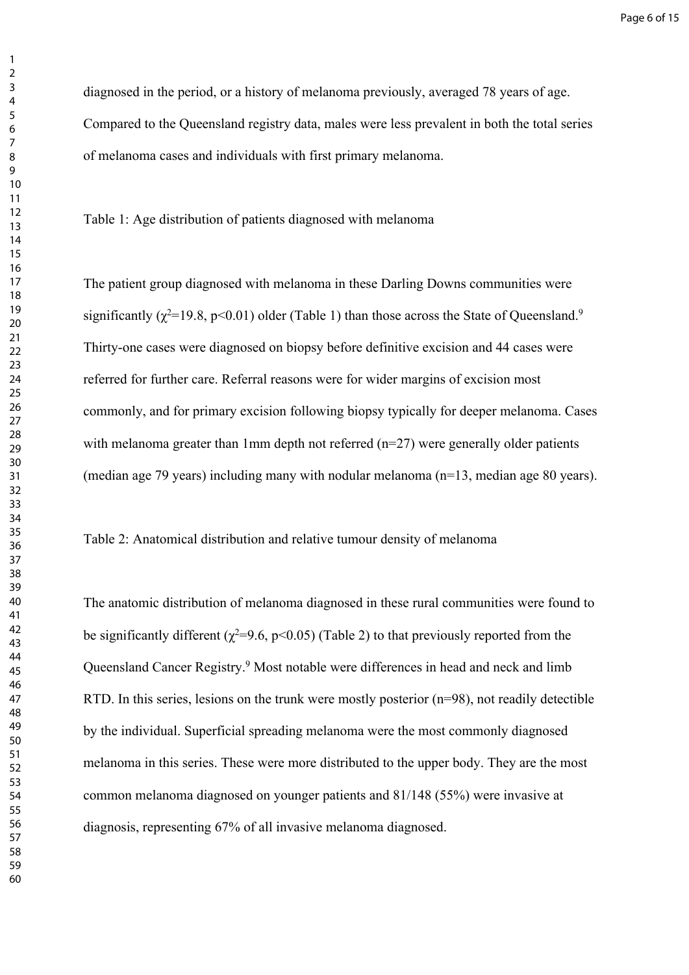diagnosed in the period, or a history of melanoma previously, averaged 78 years of age. Compared to the Queensland registry data, males were less prevalent in both the total series of melanoma cases and individuals with first primary melanoma.

Table 1: Age distribution of patients diagnosed with melanoma

The patient group diagnosed with melanoma in these Darling Downs communities were significantly ( $\chi^2$ =19.8, p<0.01) older (Table 1) than those across the State of Queensland.<sup>9</sup> Thirty-one cases were diagnosed on biopsy before definitive excision and 44 cases were referred for further care. Referral reasons were for wider margins of excision most commonly, and for primary excision following biopsy typically for deeper melanoma. Cases with melanoma greater than 1mm depth not referred (n=27) were generally older patients (median age 79 years) including many with nodular melanoma (n=13, median age 80 years).

Table 2: Anatomical distribution and relative tumour density of melanoma

The anatomic distribution of melanoma diagnosed in these rural communities were found to be significantly different ( $\chi^2$ =9.6, p<0.05) (Table 2) to that previously reported from the Queensland Cancer Registry.<sup>9</sup> Most notable were differences in head and neck and limb RTD. In this series, lesions on the trunk were mostly posterior (n=98), not readily detectible by the individual. Superficial spreading melanoma were the most commonly diagnosed melanoma in this series. These were more distributed to the upper body. They are the most common melanoma diagnosed on younger patients and 81/148 (55%) were invasive at diagnosis, representing 67% of all invasive melanoma diagnosed.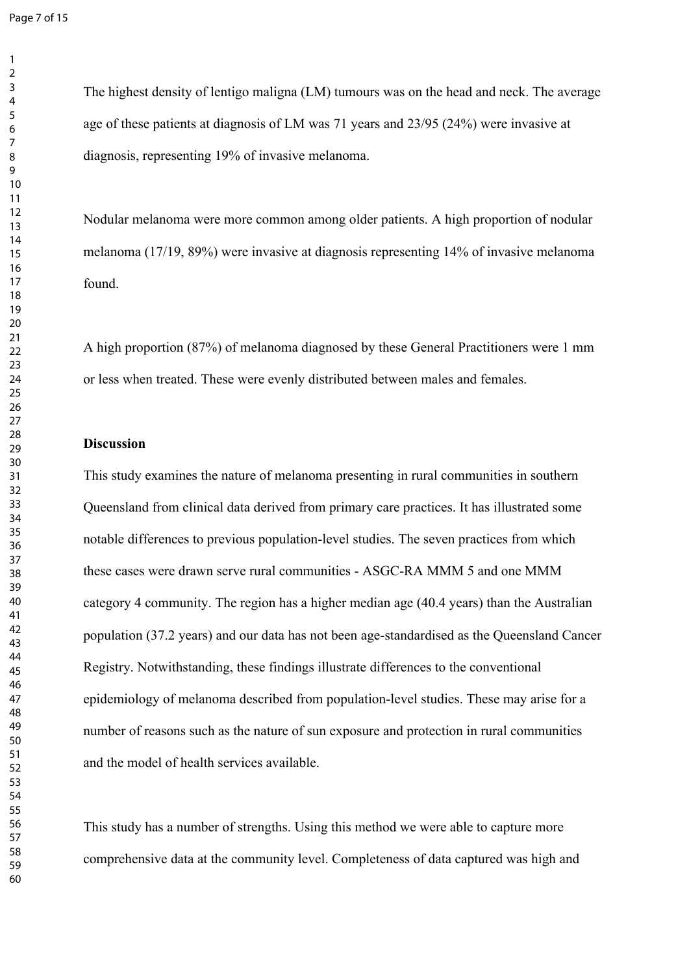Nodular melanoma were more common among older patients. A high proportion of nodular melanoma (17/19, 89%) were invasive at diagnosis representing 14% of invasive melanoma found.

A high proportion (87%) of melanoma diagnosed by these General Practitioners were 1 mm or less when treated. These were evenly distributed between males and females.

### **Discussion**

This study examines the nature of melanoma presenting in rural communities in southern Queensland from clinical data derived from primary care practices. It has illustrated some notable differences to previous population-level studies. The seven practices from which these cases were drawn serve rural communities - ASGC-RA MMM 5 and one MMM category 4 community. The region has a higher median age (40.4 years) than the Australian population (37.2 years) and our data has not been age-standardised as the Queensland Cancer Registry. Notwithstanding, these findings illustrate differences to the conventional epidemiology of melanoma described from population-level studies. These may arise for a number of reasons such as the nature of sun exposure and protection in rural communities and the model of health services available.

This study has a number of strengths. Using this method we were able to capture more comprehensive data at the community level. Completeness of data captured was high and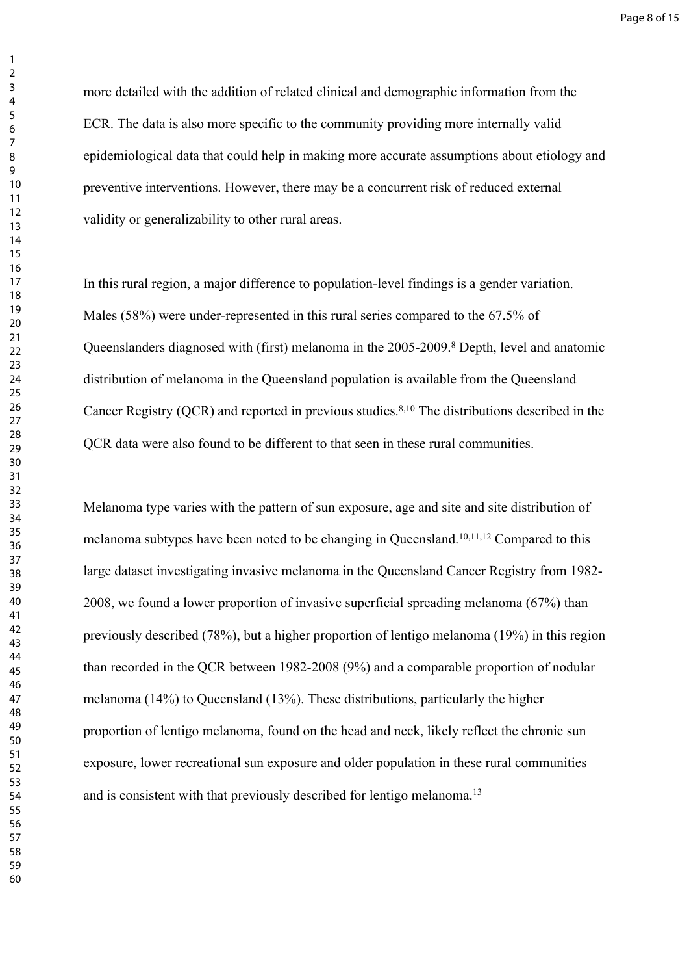more detailed with the addition of related clinical and demographic information from the ECR. The data is also more specific to the community providing more internally valid epidemiological data that could help in making more accurate assumptions about etiology and preventive interventions. However, there may be a concurrent risk of reduced external validity or generalizability to other rural areas.

In this rural region, a major difference to population-level findings is a gender variation. Males (58%) were under-represented in this rural series compared to the 67.5% of Queenslanders diagnosed with (first) melanoma in the 2005-2009.<sup>8</sup> Depth, level and anatomic distribution of melanoma in the Queensland population is available from the Queensland Cancer Registry (QCR) and reported in previous studies.8,10 The distributions described in the QCR data were also found to be different to that seen in these rural communities.

Melanoma type varies with the pattern of sun exposure, age and site and site distribution of melanoma subtypes have been noted to be changing in Queensland.10,11,12 Compared to this large dataset investigating invasive melanoma in the Queensland Cancer Registry from 1982- 2008, we found a lower proportion of invasive superficial spreading melanoma (67%) than previously described (78%), but a higher proportion of lentigo melanoma (19%) in this region than recorded in the QCR between 1982-2008 (9%) and a comparable proportion of nodular melanoma (14%) to Queensland (13%). These distributions, particularly the higher proportion of lentigo melanoma, found on the head and neck, likely reflect the chronic sun exposure, lower recreational sun exposure and older population in these rural communities and is consistent with that previously described for lentigo melanoma.<sup>13</sup>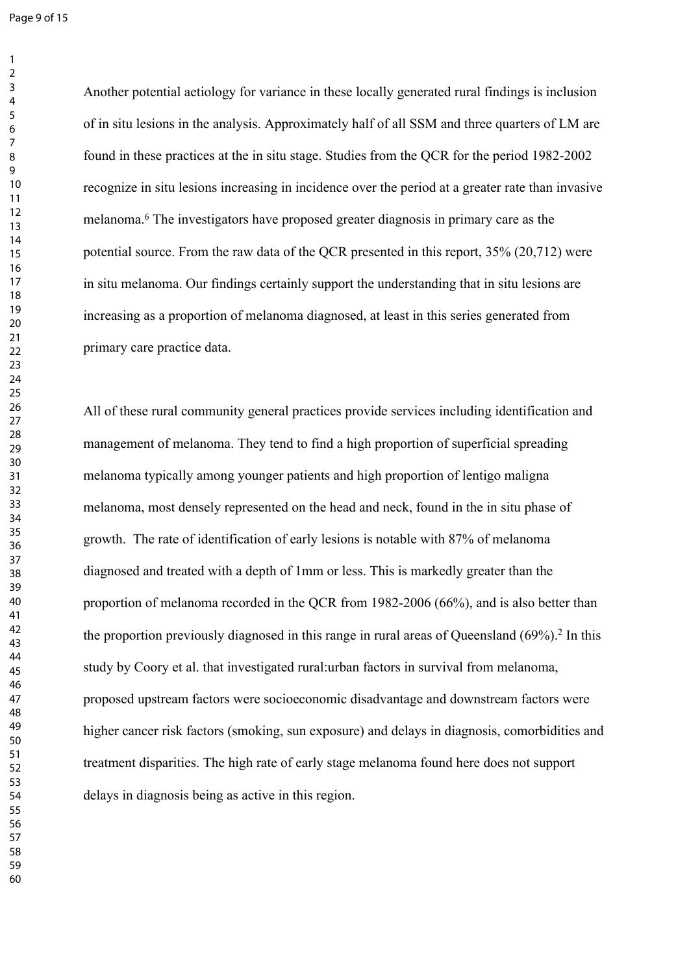Page 9 of 15

Another potential aetiology for variance in these locally generated rural findings is inclusion of in situ lesions in the analysis. Approximately half of all SSM and three quarters of LM are found in these practices at the in situ stage. Studies from the QCR for the period 1982-2002 recognize in situ lesions increasing in incidence over the period at a greater rate than invasive melanoma.<sup>6</sup> The investigators have proposed greater diagnosis in primary care as the potential source. From the raw data of the QCR presented in this report, 35% (20,712) were in situ melanoma. Our findings certainly support the understanding that in situ lesions are increasing as a proportion of melanoma diagnosed, at least in this series generated from primary care practice data.

All of these rural community general practices provide services including identification and management of melanoma. They tend to find a high proportion of superficial spreading melanoma typically among younger patients and high proportion of lentigo maligna melanoma, most densely represented on the head and neck, found in the in situ phase of growth. The rate of identification of early lesions is notable with 87% of melanoma diagnosed and treated with a depth of 1mm or less. This is markedly greater than the proportion of melanoma recorded in the QCR from 1982-2006 (66%), and is also better than the proportion previously diagnosed in this range in rural areas of Queensland  $(69\%)$ .<sup>2</sup> In this study by Coory et al. that investigated rural:urban factors in survival from melanoma, proposed upstream factors were socioeconomic disadvantage and downstream factors were higher cancer risk factors (smoking, sun exposure) and delays in diagnosis, comorbidities and treatment disparities. The high rate of early stage melanoma found here does not support delays in diagnosis being as active in this region.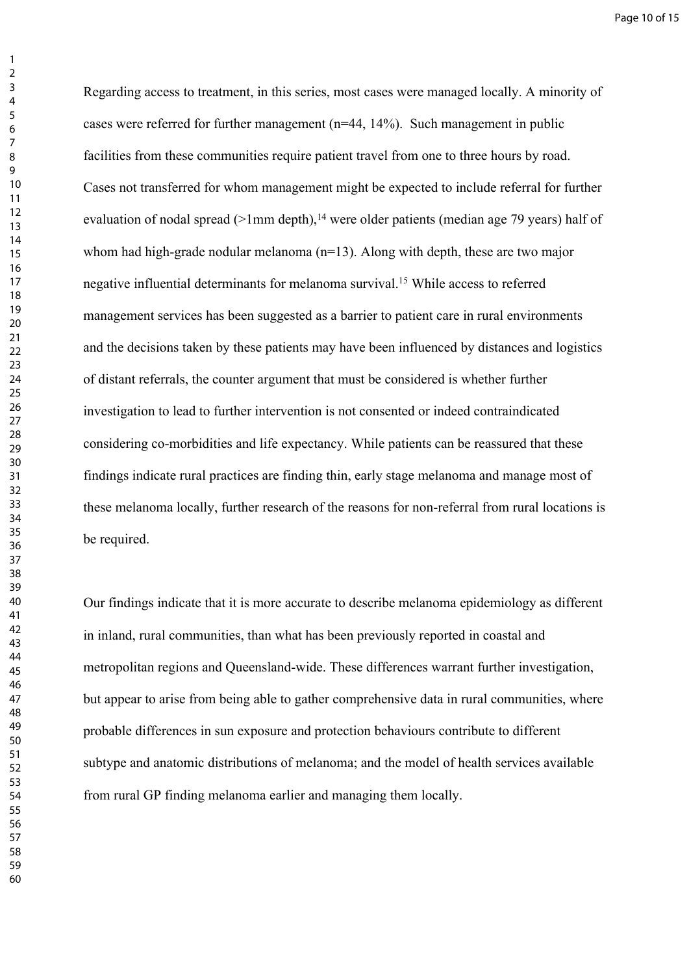Regarding access to treatment, in this series, most cases were managed locally. A minority of cases were referred for further management (n=44, 14%). Such management in public facilities from these communities require patient travel from one to three hours by road. Cases not transferred for whom management might be expected to include referral for further evaluation of nodal spread ( $>1$ mm depth),<sup>14</sup> were older patients (median age 79 years) half of whom had high-grade nodular melanoma (n=13). Along with depth, these are two major negative influential determinants for melanoma survival.<sup>15</sup> While access to referred management services has been suggested as a barrier to patient care in rural environments and the decisions taken by these patients may have been influenced by distances and logistics of distant referrals, the counter argument that must be considered is whether further investigation to lead to further intervention is not consented or indeed contraindicated considering co-morbidities and life expectancy. While patients can be reassured that these findings indicate rural practices are finding thin, early stage melanoma and manage most of these melanoma locally, further research of the reasons for non-referral from rural locations is be required.

Our findings indicate that it is more accurate to describe melanoma epidemiology as different in inland, rural communities, than what has been previously reported in coastal and metropolitan regions and Queensland-wide. These differences warrant further investigation, but appear to arise from being able to gather comprehensive data in rural communities, where probable differences in sun exposure and protection behaviours contribute to different subtype and anatomic distributions of melanoma; and the model of health services available from rural GP finding melanoma earlier and managing them locally.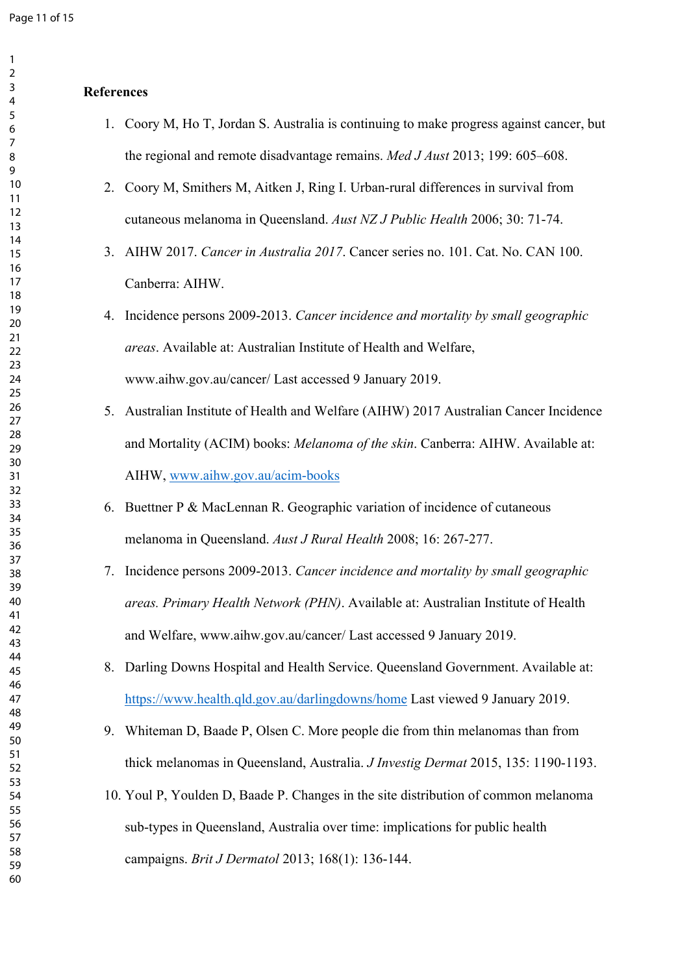## **References**

| 1. Coory M, Ho T, Jordan S. Australia is continuing to make progress against cancer, but |
|------------------------------------------------------------------------------------------|
| the regional and remote disadvantage remains. <i>Med J Aust</i> 2013; 199: 605–608.      |

- 2. Coory M, Smithers M, Aitken J, Ring I. Urban-rural differences in survival from cutaneous melanoma in Queensland. *Aust NZ J Public Health* 2006; 30: 71-74.
- 3. AIHW 2017. *Cancer in Australia 2017*. Cancer series no. 101. Cat. No. CAN 100. Canberra: AIHW.
- 4. Incidence persons 2009-2013. *Cancer incidence and mortality by small geographic areas*. Available at: Australian Institute of Health and Welfare, www.aihw.gov.au/cancer/ Last accessed 9 January 2019.
- 5. Australian Institute of Health and Welfare (AIHW) 2017 Australian Cancer Incidence and Mortality (ACIM) books: *Melanoma of the skin*. Canberra: AIHW. Available at: AIHW, [www.aihw.gov.au/acim-books](http://www.aihw.gov.au/acim-books)
- 6. Buettner P & MacLennan R. Geographic variation of incidence of cutaneous melanoma in Queensland. *Aust J Rural Health* 2008; 16: 267-277.
- 7. Incidence persons 2009-2013. *Cancer incidence and mortality by small geographic areas. Primary Health Network (PHN)*. Available at: Australian Institute of Health and Welfare, www.aihw.gov.au/cancer/ Last accessed 9 January 2019.
- 8. Darling Downs Hospital and Health Service. Queensland Government. Available at: <https://www.health.qld.gov.au/darlingdowns/home>Last viewed 9 January 2019.
- 9. Whiteman D, Baade P, Olsen C. More people die from thin melanomas than from thick melanomas in Queensland, Australia. *J Investig Dermat* 2015, 135: 1190-1193.
- 10. Youl P, Youlden D, Baade P. Changes in the site distribution of common melanoma sub-types in Queensland, Australia over time: implications for public health campaigns. *Brit J Dermatol* 2013; 168(1): 136-144.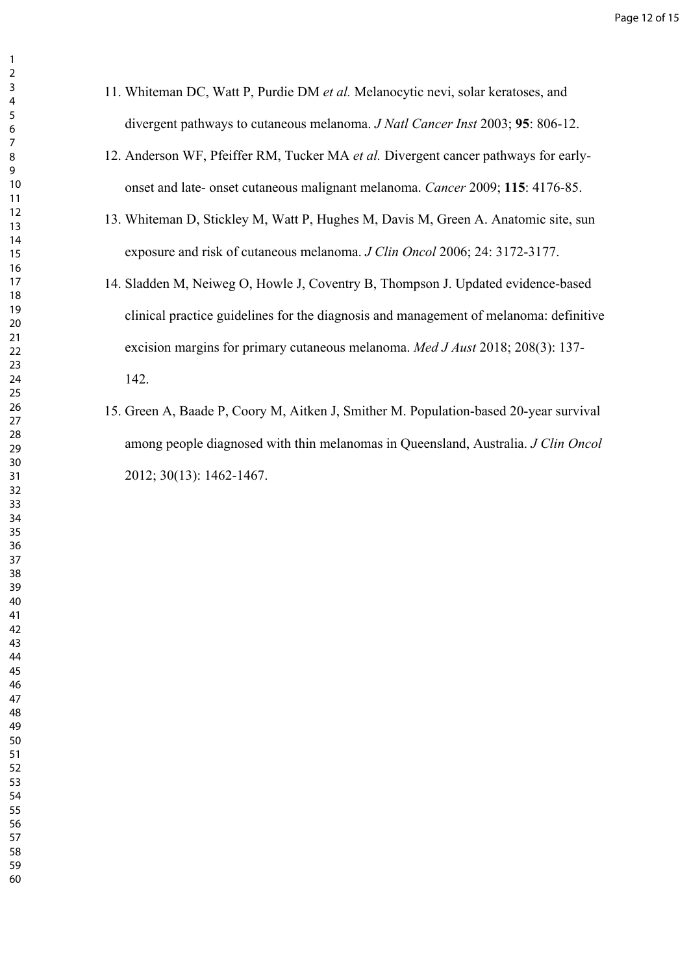- 11. Whiteman DC, Watt P, Purdie DM *et al.* Melanocytic nevi, solar keratoses, and divergent pathways to cutaneous melanoma. *J Natl Cancer Inst* 2003; **95**: 806-12.
- 12. Anderson WF, Pfeiffer RM, Tucker MA *et al.* Divergent cancer pathways for earlyonset and late- onset cutaneous malignant melanoma. *Cancer* 2009; **115**: 4176-85.
- 13. Whiteman D, Stickley M, Watt P, Hughes M, Davis M, Green A. Anatomic site, sun exposure and risk of cutaneous melanoma. *J Clin Oncol* 2006; 24: 3172-3177.
- 14. Sladden M, Neiweg O, Howle J, Coventry B, Thompson J. Updated evidence-based clinical practice guidelines for the diagnosis and management of melanoma: definitive excision margins for primary cutaneous melanoma. *Med J Aust* 2018; 208(3): 137- 142.
- 15. Green A, Baade P, Coory M, Aitken J, Smither M. Population-based 20-year survival among people diagnosed with thin melanomas in Queensland, Australia. *J Clin Oncol* 2012; 30(13): 1462-1467.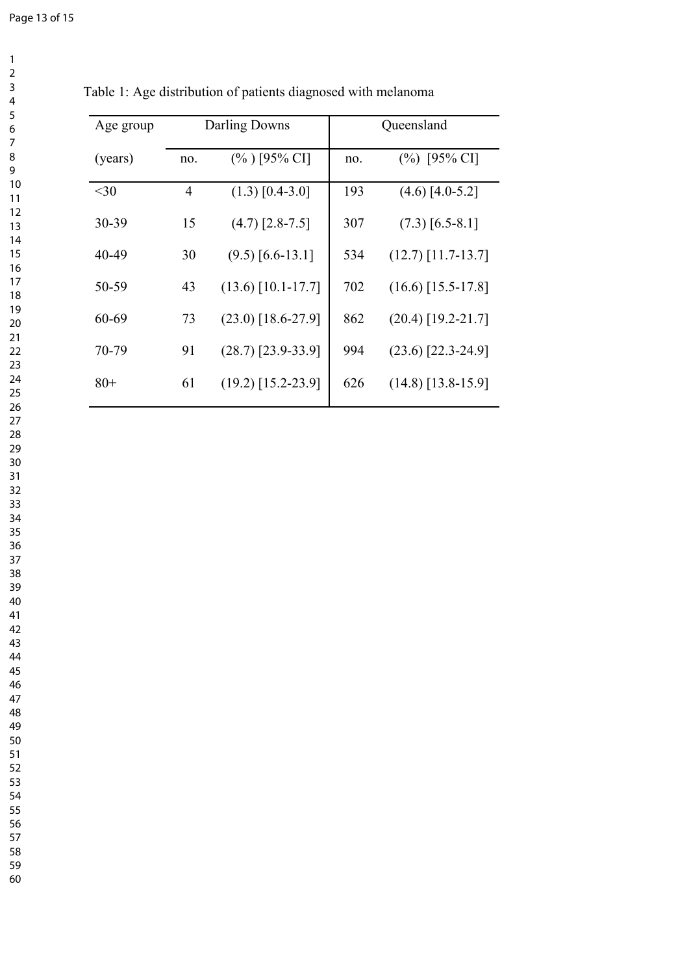| Age group |                | Darling Downs        | Queensland |                      |  |
|-----------|----------------|----------------------|------------|----------------------|--|
| (years)   | no.            | $(\%)$ [95% CI]      | no.        | $(\%)$ [95% CI]      |  |
| $30$      | $\overline{4}$ | $(1.3)$ [0.4-3.0]    | 193        | $(4.6)$ [4.0-5.2]    |  |
| 30-39     | 15             | $(4.7)$ [2.8-7.5]    | 307        | $(7.3)$ [6.5-8.1]    |  |
| 40-49     | 30             | $(9.5)$ [6.6-13.1]   | 534        | $(12.7)$ [11.7-13.7] |  |
| 50-59     | 43             | $(13.6)$ [10.1-17.7] | 702        | $(16.6)$ [15.5-17.8] |  |
| 60-69     | 73             | $(23.0)$ [18.6-27.9] | 862        | $(20.4)$ [19.2-21.7] |  |
| 70-79     | 91             | $(28.7)$ [23.9-33.9] | 994        | $(23.6)$ [22.3-24.9] |  |
| $80+$     | 61             | $(19.2)$ [15.2-23.9] | 626        | $(14.8)$ [13.8-15.9] |  |

Table 1: Age distribution of patients diagnosed with melanoma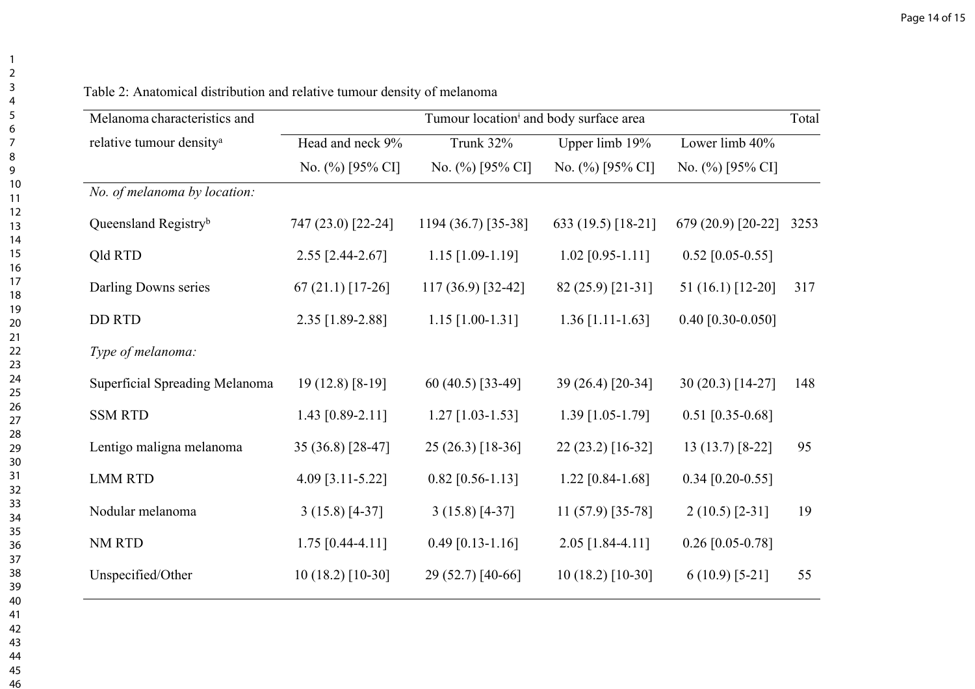| Melanoma characteristics and         | Tumour location <sup>#</sup> and body surface area |                     |                    |                       | Total |
|--------------------------------------|----------------------------------------------------|---------------------|--------------------|-----------------------|-------|
| relative tumour density <sup>a</sup> | Head and neck 9%                                   | Trunk 32%           | Upper limb 19%     | Lower limb 40%        |       |
|                                      | No. $(\%)$ [95% CI]                                | No. $(\%)$ [95% CI] | No. (%) [95% CI]   | No. (%) [95% CI]      |       |
| No. of melanoma by location:         |                                                    |                     |                    |                       |       |
| Queensland Registryb                 | 747 (23.0) [22-24]                                 | 1194 (36.7) [35-38] | 633 (19.5) [18-21] | 679 (20.9) [20-22]    | 3253  |
| Qld RTD                              | $2.55$ [2.44-2.67]                                 | $1.15$ [1.09-1.19]  | $1.02$ [0.95-1.11] | $0.52$ [0.05-0.55]    |       |
| Darling Downs series                 | $67(21.1)$ [17-26]                                 | $117(36.9)$ [32-42] | 82 (25.9) [21-31]  | 51 (16.1) [12-20]     | 317   |
| <b>DD RTD</b>                        | 2.35 [1.89-2.88]                                   | $1.15$ [1.00-1.31]  | $1.36$ [1.11-1.63] | 0.40 $[0.30 - 0.050]$ |       |
| Type of melanoma:                    |                                                    |                     |                    |                       |       |
| Superficial Spreading Melanoma       | $19(12.8)$ [8-19]                                  | 60 (40.5) [33-49]   | 39 (26.4) [20-34]  | 30 (20.3) [14-27]     | 148   |
| <b>SSM RTD</b>                       | 1.43 $[0.89-2.11]$                                 | $1.27$ [1.03-1.53]  | $1.39$ [1.05-1.79] | $0.51$ [0.35-0.68]    |       |
| Lentigo maligna melanoma             | 35 (36.8) [28-47]                                  | 25 (26.3) [18-36]   | 22 (23.2) [16-32]  | $13(13.7)$ [8-22]     | 95    |
| <b>LMM RTD</b>                       | 4.09 [3.11-5.22]                                   | $0.82$ [0.56-1.13]  | $1.22$ [0.84-1.68] | $0.34$ [0.20-0.55]    |       |
| Nodular melanoma                     | $3(15.8)$ [4-37]                                   | $3(15.8)$ [4-37]    | $11(57.9)$ [35-78] | $2(10.5)$ [2-31]      | 19    |
| NM RTD                               | $1.75$ [0.44-4.11]                                 | $0.49$ [0.13-1.16]  | 2.05 [1.84-4.11]   | $0.26$ [0.05-0.78]    |       |
| Unspecified/Other                    | $10(18.2)$ [10-30]                                 | 29 (52.7) [40-66]   | $10(18.2) [10-30]$ | $6(10.9)$ [5-21]      | 55    |

Table 2: Anatomical distribution and relative tumour density of melanoma